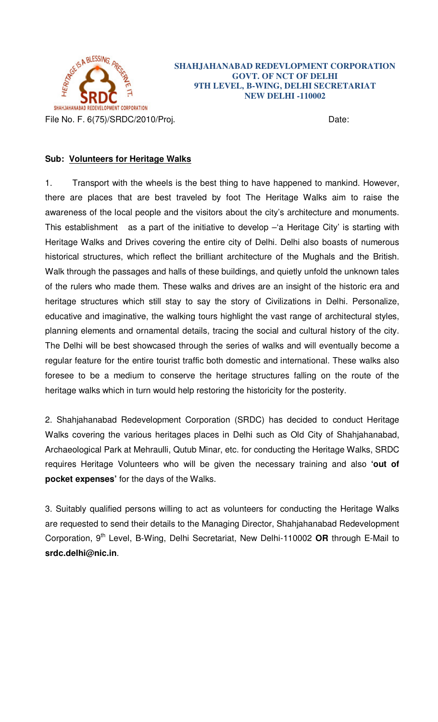

## **SHAHJAHANABAD REDEVLOPMENT CORPORATION GOVT. OF NCT OF DELHI 9TH LEVEL, B-WING, DELHI SECRETARIAT NEW DELHI -110002**

## **Sub: Volunteers for Heritage Walks**

1. Transport with the wheels is the best thing to have happened to mankind. However, there are places that are best traveled by foot The Heritage Walks aim to raise the awareness of the local people and the visitors about the city's architecture and monuments. This establishment as a part of the initiative to develop -'a Heritage City' is starting with Heritage Walks and Drives covering the entire city of Delhi. Delhi also boasts of numerous historical structures, which reflect the brilliant architecture of the Mughals and the British. Walk through the passages and halls of these buildings, and quietly unfold the unknown tales of the rulers who made them. These walks and drives are an insight of the historic era and heritage structures which still stay to say the story of Civilizations in Delhi. Personalize, educative and imaginative, the walking tours highlight the vast range of architectural styles, planning elements and ornamental details, tracing the social and cultural history of the city. The Delhi will be best showcased through the series of walks and will eventually become a regular feature for the entire tourist traffic both domestic and international. These walks also foresee to be a medium to conserve the heritage structures falling on the route of the heritage walks which in turn would help restoring the historicity for the posterity.

2. Shahjahanabad Redevelopment Corporation (SRDC) has decided to conduct Heritage Walks covering the various heritages places in Delhi such as Old City of Shahjahanabad, Archaeological Park at Mehraulli, Qutub Minar, etc. for conducting the Heritage Walks, SRDC requires Heritage Volunteers who will be given the necessary training and also **'out of pocket expenses'** for the days of the Walks.

3. Suitably qualified persons willing to act as volunteers for conducting the Heritage Walks are requested to send their details to the Managing Director, Shahjahanabad Redevelopment Corporation, 9th Level, B-Wing, Delhi Secretariat, New Delhi-110002 **OR** through E-Mail to **srdc.delhi@nic.in**.